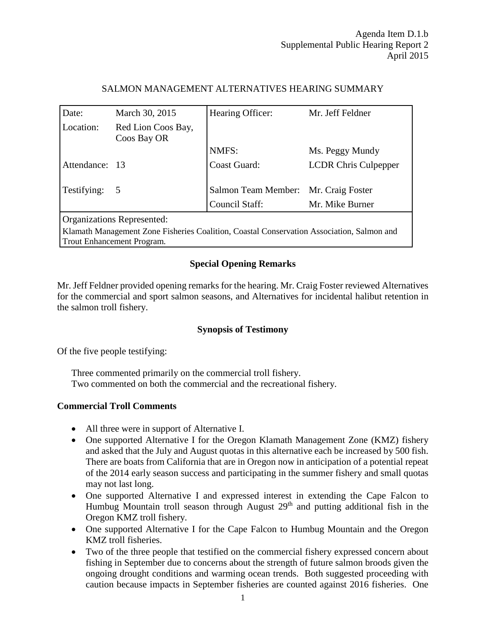# SALMON MANAGEMENT ALTERNATIVES HEARING SUMMARY

| Date:                                                                                     | March 30, 2015                    | Hearing Officer:                     | Mr. Jeff Feldner            |
|-------------------------------------------------------------------------------------------|-----------------------------------|--------------------------------------|-----------------------------|
| Location:                                                                                 | Red Lion Coos Bay,<br>Coos Bay OR |                                      |                             |
|                                                                                           |                                   | NMFS:                                | Ms. Peggy Mundy             |
| Attendance: 13                                                                            |                                   | Coast Guard:                         | <b>LCDR Chris Culpepper</b> |
| Testifying:                                                                               | $5\phantom{0}$                    | Salmon Team Member: Mr. Craig Foster |                             |
|                                                                                           |                                   | Council Staff:                       | Mr. Mike Burner             |
| Organizations Represented:                                                                |                                   |                                      |                             |
| Klamath Management Zone Fisheries Coalition, Coastal Conservation Association, Salmon and |                                   |                                      |                             |

Trout Enhancement Program.

# **Special Opening Remarks**

Mr. Jeff Feldner provided opening remarks for the hearing. Mr. Craig Foster reviewed Alternatives for the commercial and sport salmon seasons, and Alternatives for incidental halibut retention in the salmon troll fishery.

# **Synopsis of Testimony**

Of the five people testifying:

Three commented primarily on the commercial troll fishery. Two commented on both the commercial and the recreational fishery.

# **Commercial Troll Comments**

- All three were in support of Alternative I.
- One supported Alternative I for the Oregon Klamath Management Zone (KMZ) fishery and asked that the July and August quotas in this alternative each be increased by 500 fish. There are boats from California that are in Oregon now in anticipation of a potential repeat of the 2014 early season success and participating in the summer fishery and small quotas may not last long.
- One supported Alternative I and expressed interest in extending the Cape Falcon to Humbug Mountain troll season through August  $29<sup>th</sup>$  and putting additional fish in the Oregon KMZ troll fishery.
- One supported Alternative I for the Cape Falcon to Humbug Mountain and the Oregon KMZ troll fisheries.
- Two of the three people that testified on the commercial fishery expressed concern about fishing in September due to concerns about the strength of future salmon broods given the ongoing drought conditions and warming ocean trends. Both suggested proceeding with caution because impacts in September fisheries are counted against 2016 fisheries. One